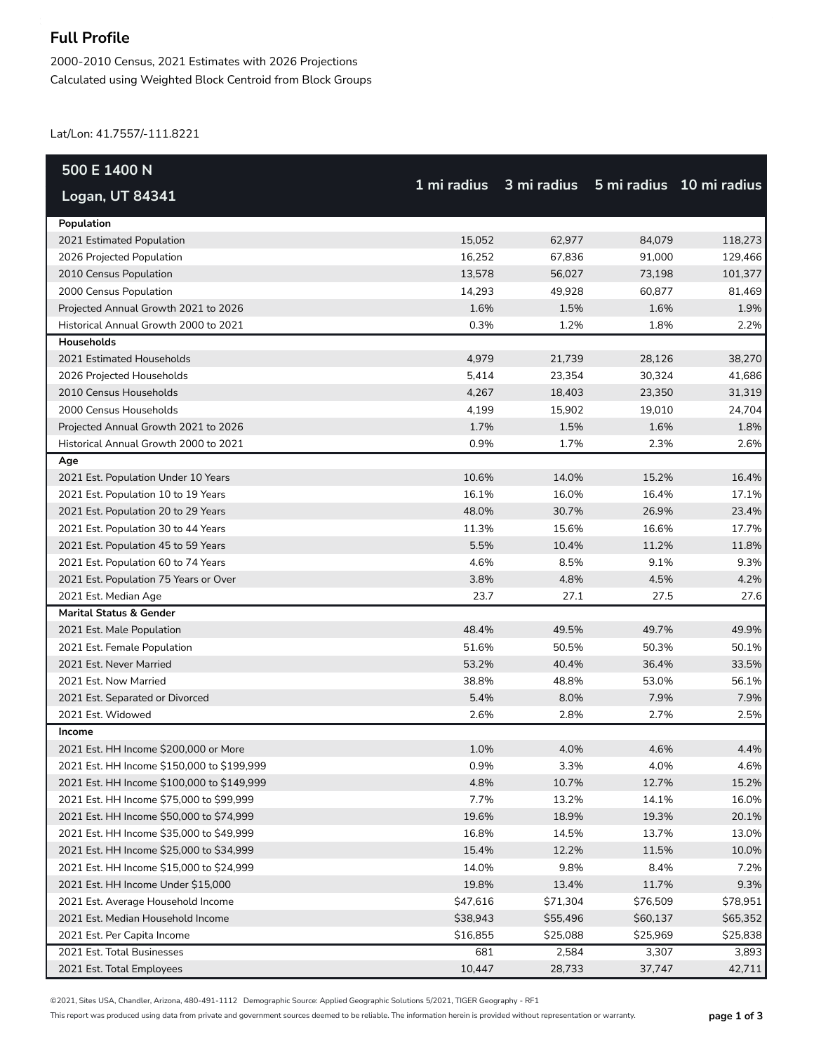## **Full Profile**

2000-2010 Census, 2021 Estimates with 2026 Projections Calculated using Weighted Block Centroid from Block Groups

Lat/Lon: 41.7557/-111.8221

| 500 E 1400 N                               |             |          |                                      |          |
|--------------------------------------------|-------------|----------|--------------------------------------|----------|
| Logan, UT 84341                            | 1 mi radius |          | 3 mi radius 5 mi radius 10 mi radius |          |
| Population                                 |             |          |                                      |          |
| 2021 Estimated Population                  | 15,052      | 62,977   | 84,079                               | 118,273  |
| 2026 Projected Population                  | 16,252      | 67,836   | 91,000                               | 129,466  |
| 2010 Census Population                     | 13,578      | 56,027   | 73,198                               | 101,377  |
| 2000 Census Population                     | 14,293      | 49,928   | 60,877                               | 81,469   |
| Projected Annual Growth 2021 to 2026       | 1.6%        | 1.5%     | 1.6%                                 | 1.9%     |
| Historical Annual Growth 2000 to 2021      | 0.3%        | 1.2%     | 1.8%                                 | 2.2%     |
| Households                                 |             |          |                                      |          |
| 2021 Estimated Households                  | 4,979       | 21,739   | 28,126                               | 38,270   |
| 2026 Projected Households                  | 5,414       | 23,354   | 30,324                               | 41,686   |
| 2010 Census Households                     | 4,267       | 18,403   | 23,350                               | 31,319   |
| 2000 Census Households                     | 4,199       | 15,902   | 19,010                               | 24,704   |
| Projected Annual Growth 2021 to 2026       | 1.7%        | 1.5%     | 1.6%                                 | 1.8%     |
| Historical Annual Growth 2000 to 2021      | 0.9%        | 1.7%     | 2.3%                                 | 2.6%     |
| Age                                        |             |          |                                      |          |
| 2021 Est. Population Under 10 Years        | 10.6%       | 14.0%    | 15.2%                                | 16.4%    |
| 2021 Est. Population 10 to 19 Years        | 16.1%       | 16.0%    | 16.4%                                | 17.1%    |
| 2021 Est. Population 20 to 29 Years        | 48.0%       | 30.7%    | 26.9%                                | 23.4%    |
| 2021 Est. Population 30 to 44 Years        | 11.3%       | 15.6%    | 16.6%                                | 17.7%    |
| 2021 Est. Population 45 to 59 Years        | 5.5%        | 10.4%    | 11.2%                                | 11.8%    |
| 2021 Est. Population 60 to 74 Years        | 4.6%        | 8.5%     | 9.1%                                 | 9.3%     |
| 2021 Est. Population 75 Years or Over      | 3.8%        | 4.8%     | 4.5%                                 | 4.2%     |
| 2021 Est. Median Age                       | 23.7        | 27.1     | 27.5                                 | 27.6     |
| <b>Marital Status &amp; Gender</b>         |             |          |                                      |          |
| 2021 Est. Male Population                  | 48.4%       | 49.5%    | 49.7%                                | 49.9%    |
| 2021 Est. Female Population                | 51.6%       | 50.5%    | 50.3%                                | 50.1%    |
| 2021 Est. Never Married                    | 53.2%       | 40.4%    | 36.4%                                | 33.5%    |
| 2021 Est. Now Married                      | 38.8%       | 48.8%    | 53.0%                                | 56.1%    |
| 2021 Est. Separated or Divorced            | 5.4%        | 8.0%     | 7.9%                                 | 7.9%     |
| 2021 Est. Widowed                          | 2.6%        | 2.8%     | 2.7%                                 | 2.5%     |
| Income                                     |             |          |                                      |          |
| 2021 Est. HH Income \$200,000 or More      | 1.0%        | 4.0%     | 4.6%                                 | 4.4%     |
| 2021 Est. HH Income \$150,000 to \$199,999 | 0.9%        | 3.3%     | 4.0%                                 | 4.6%     |
| 2021 Est. HH Income \$100,000 to \$149,999 | 4.8%        | 10.7%    | 12.7%                                | 15.2%    |
| 2021 Est. HH Income \$75,000 to \$99,999   | 7.7%        | 13.2%    | 14.1%                                | 16.0%    |
| 2021 Est. HH Income \$50,000 to \$74,999   | 19.6%       | 18.9%    | 19.3%                                | 20.1%    |
| 2021 Est. HH Income \$35,000 to \$49,999   | 16.8%       | 14.5%    | 13.7%                                | 13.0%    |
| 2021 Est. HH Income \$25,000 to \$34,999   | 15.4%       | 12.2%    | 11.5%                                | 10.0%    |
| 2021 Est. HH Income \$15,000 to \$24,999   | 14.0%       | 9.8%     | 8.4%                                 | 7.2%     |
| 2021 Est. HH Income Under \$15,000         | 19.8%       | 13.4%    | 11.7%                                | 9.3%     |
| 2021 Est. Average Household Income         | \$47,616    | \$71,304 | \$76,509                             | \$78,951 |
| 2021 Est. Median Household Income          | \$38,943    | \$55,496 | \$60,137                             | \$65,352 |
| 2021 Est. Per Capita Income                | \$16,855    | \$25,088 | \$25,969                             | \$25,838 |
| 2021 Est. Total Businesses                 | 681         | 2,584    | 3,307                                | 3,893    |
| 2021 Est. Total Employees                  | 10,447      | 28,733   | 37,747                               | 42,711   |

©2021, Sites USA, Chandler, Arizona, 480-491-1112 Demographic Source: Applied Geographic Solutions 5/2021, TIGER Geography - RF1

This report was produced using data from private and government sources deemed to be reliable. The information herein is provided without representation or warranty. **page 1 of 3**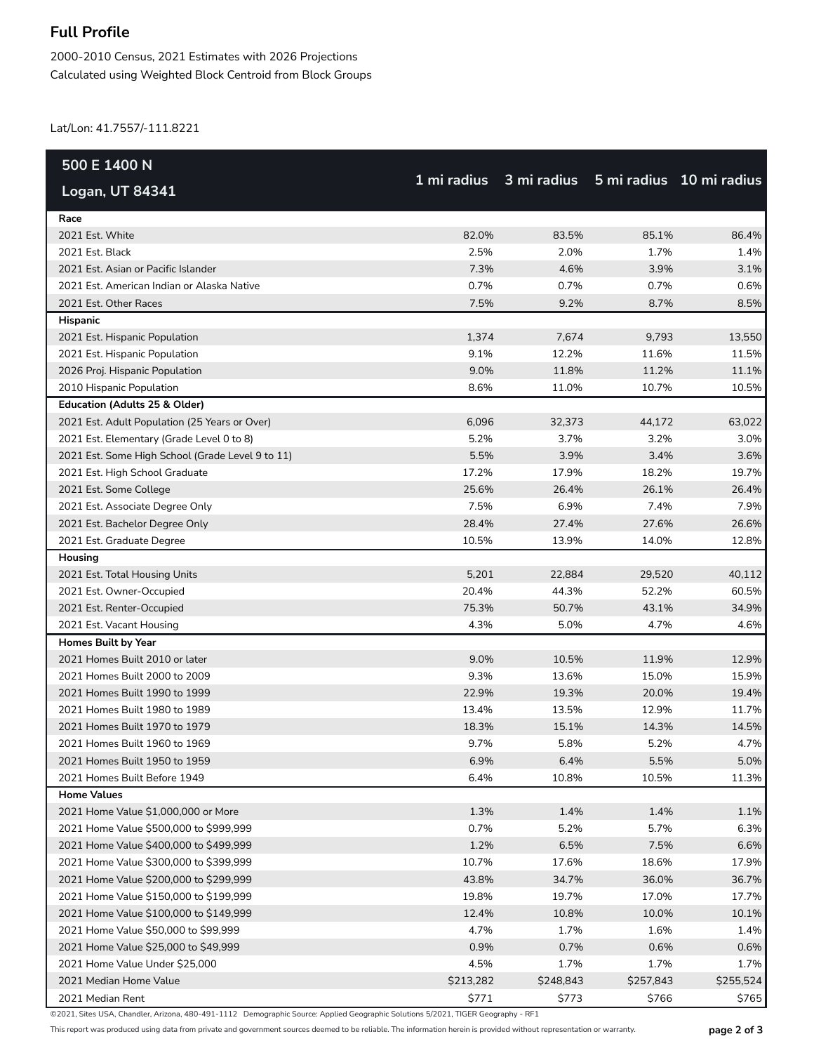## **Full Profile**

2000-2010 Census, 2021 Estimates with 2026 Projections Calculated using Weighted Block Centroid from Block Groups

Lat/Lon: 41.7557/-111.8221

| 500 E 1400 N                                     |           |                                                  |           |           |
|--------------------------------------------------|-----------|--------------------------------------------------|-----------|-----------|
| Logan, UT 84341                                  |           | 1 mi radius 3 mi radius 5 mi radius 10 mi radius |           |           |
| Race                                             |           |                                                  |           |           |
| 2021 Est. White                                  | 82.0%     | 83.5%                                            | 85.1%     | 86.4%     |
| 2021 Est. Black                                  | 2.5%      | 2.0%                                             | 1.7%      | 1.4%      |
| 2021 Est. Asian or Pacific Islander              | 7.3%      | 4.6%                                             | 3.9%      | 3.1%      |
| 2021 Est. American Indian or Alaska Native       | 0.7%      | 0.7%                                             | 0.7%      | 0.6%      |
| 2021 Est. Other Races                            | 7.5%      | 9.2%                                             | 8.7%      | 8.5%      |
| Hispanic                                         |           |                                                  |           |           |
| 2021 Est. Hispanic Population                    | 1,374     | 7,674                                            | 9,793     | 13,550    |
| 2021 Est. Hispanic Population                    | 9.1%      | 12.2%                                            | 11.6%     | 11.5%     |
| 2026 Proj. Hispanic Population                   | 9.0%      | 11.8%                                            | 11.2%     | 11.1%     |
| 2010 Hispanic Population                         | 8.6%      | 11.0%                                            | 10.7%     | 10.5%     |
| Education (Adults 25 & Older)                    |           |                                                  |           |           |
| 2021 Est. Adult Population (25 Years or Over)    | 6,096     | 32,373                                           | 44,172    | 63,022    |
| 2021 Est. Elementary (Grade Level 0 to 8)        | 5.2%      | 3.7%                                             | 3.2%      | 3.0%      |
| 2021 Est. Some High School (Grade Level 9 to 11) | 5.5%      | 3.9%                                             | 3.4%      | 3.6%      |
| 2021 Est. High School Graduate                   | 17.2%     | 17.9%                                            | 18.2%     | 19.7%     |
| 2021 Est. Some College                           | 25.6%     | 26.4%                                            | 26.1%     | 26.4%     |
| 2021 Est. Associate Degree Only                  | 7.5%      | 6.9%                                             | 7.4%      | 7.9%      |
| 2021 Est. Bachelor Degree Only                   | 28.4%     | 27.4%                                            | 27.6%     | 26.6%     |
| 2021 Est. Graduate Degree                        | 10.5%     | 13.9%                                            | 14.0%     | 12.8%     |
| Housing                                          |           |                                                  |           |           |
| 2021 Est. Total Housing Units                    | 5,201     | 22,884                                           | 29,520    | 40,112    |
| 2021 Est. Owner-Occupied                         | 20.4%     | 44.3%                                            | 52.2%     | 60.5%     |
| 2021 Est. Renter-Occupied                        | 75.3%     | 50.7%                                            | 43.1%     | 34.9%     |
| 2021 Est. Vacant Housing                         | 4.3%      | 5.0%                                             | 4.7%      | 4.6%      |
| <b>Homes Built by Year</b>                       |           |                                                  |           |           |
| 2021 Homes Built 2010 or later                   | 9.0%      | 10.5%                                            | 11.9%     | 12.9%     |
| 2021 Homes Built 2000 to 2009                    | 9.3%      | 13.6%                                            | 15.0%     | 15.9%     |
| 2021 Homes Built 1990 to 1999                    | 22.9%     | 19.3%                                            | 20.0%     | 19.4%     |
| 2021 Homes Built 1980 to 1989                    | 13.4%     | 13.5%                                            | 12.9%     | 11.7%     |
| 2021 Homes Built 1970 to 1979                    | 18.3%     | 15.1%                                            | 14.3%     | 14.5%     |
| 2021 Homes Built 1960 to 1969                    | 9.7%      | 5.8%                                             | 5.2%      | 4.7%      |
| 2021 Homes Built 1950 to 1959                    | 6.9%      | 6.4%                                             | 5.5%      | 5.0%      |
| 2021 Homes Built Before 1949                     | 6.4%      | 10.8%                                            | 10.5%     | 11.3%     |
| <b>Home Values</b>                               |           |                                                  |           |           |
| 2021 Home Value \$1,000,000 or More              | 1.3%      | 1.4%                                             | 1.4%      | 1.1%      |
| 2021 Home Value \$500,000 to \$999,999           | 0.7%      | 5.2%                                             | 5.7%      | 6.3%      |
| 2021 Home Value \$400,000 to \$499,999           | 1.2%      | 6.5%                                             | 7.5%      | 6.6%      |
| 2021 Home Value \$300,000 to \$399,999           | 10.7%     | 17.6%                                            | 18.6%     | 17.9%     |
| 2021 Home Value \$200,000 to \$299,999           | 43.8%     | 34.7%                                            | 36.0%     | 36.7%     |
| 2021 Home Value \$150,000 to \$199,999           | 19.8%     | 19.7%                                            | 17.0%     | 17.7%     |
| 2021 Home Value \$100,000 to \$149,999           | 12.4%     | 10.8%                                            | 10.0%     | 10.1%     |
| 2021 Home Value \$50,000 to \$99,999             | 4.7%      | 1.7%                                             | 1.6%      | 1.4%      |
| 2021 Home Value \$25,000 to \$49,999             | 0.9%      | 0.7%                                             | 0.6%      | 0.6%      |
| 2021 Home Value Under \$25,000                   | 4.5%      | 1.7%                                             | 1.7%      | 1.7%      |
| 2021 Median Home Value                           | \$213,282 | \$248,843                                        | \$257,843 | \$255,524 |
| 2021 Median Rent                                 | \$771     | \$773                                            | \$766     | \$765     |

©2021, Sites USA, Chandler, Arizona, 480-491-1112 Demographic Source: Applied Geographic Solutions 5/2021, TIGER Geography - RF1

This report was produced using data from private and government sources deemed to be reliable. The information herein is provided without representation or warranty. **page 2 of 3**